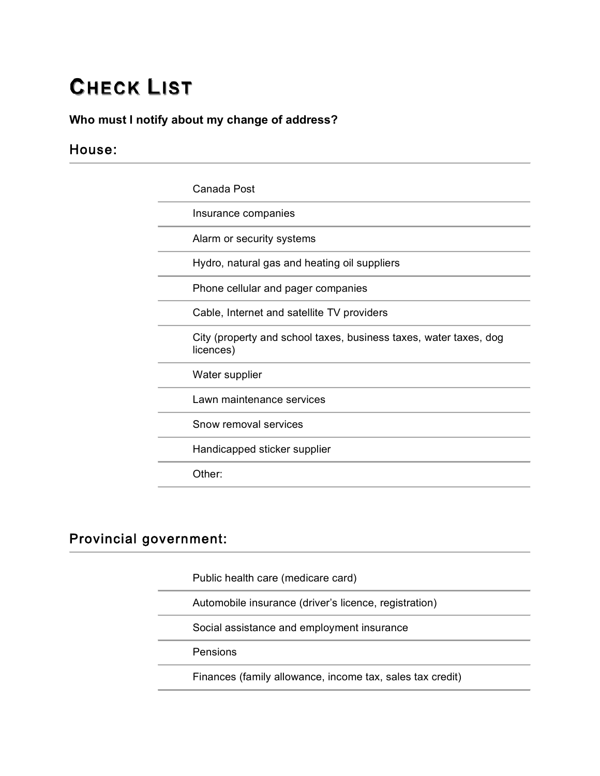# **CHECK LIST**

#### **Who must I notify about my change of address?**

### House:

| Canada Post                                                                    |
|--------------------------------------------------------------------------------|
| Insurance companies                                                            |
| Alarm or security systems                                                      |
| Hydro, natural gas and heating oil suppliers                                   |
| Phone cellular and pager companies                                             |
| Cable, Internet and satellite TV providers                                     |
| City (property and school taxes, business taxes, water taxes, dog<br>licences) |
| Water supplier                                                                 |
| Lawn maintenance services                                                      |
| Snow removal services                                                          |
| Handicapped sticker supplier                                                   |
| Other:                                                                         |

#### **Provincial government:**

Public health care (medicare card)

Automobile insurance (driver's licence, registration)

Social assistance and employment insurance

Pensions

Finances (family allowance, income tax, sales tax credit)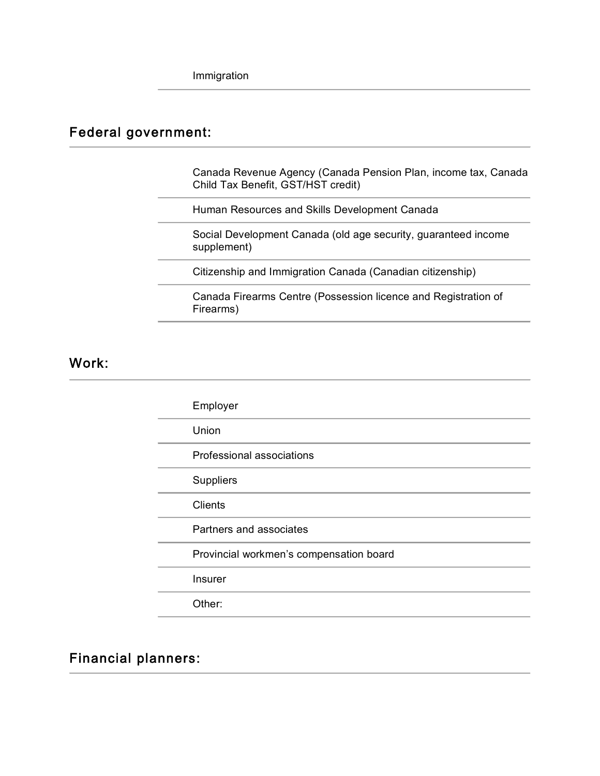## Federal government:

 Canada Revenue Agency (Canada Pension Plan, income tax, Canada Child Tax Benefit, GST/HST credit)

Human Resources and Skills Development Canada

 Social Development Canada (old age security, guaranteed income supplement)

Citizenship and Immigration Canada (Canadian citizenship)

 Canada Firearms Centre (Possession licence and Registration of Firearms)

Work:

| Employer                                |
|-----------------------------------------|
| Union                                   |
| Professional associations               |
| <b>Suppliers</b>                        |
| <b>Clients</b>                          |
| Partners and associates                 |
| Provincial workmen's compensation board |
| Insurer                                 |
| Other:                                  |

**Financial planners:**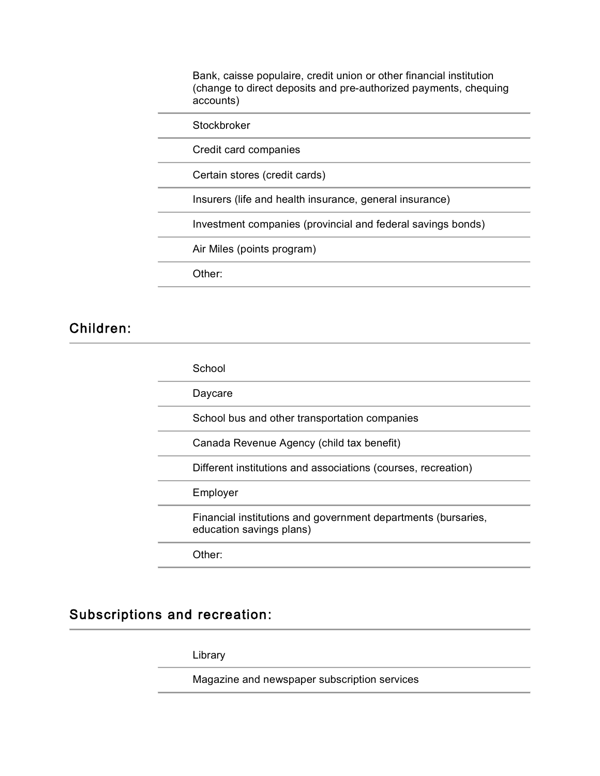Bank, caisse populaire, credit union or other financial institution (change to direct deposits and pre-authorized payments, chequing accounts)

**Stockbroker** 

Credit card companies

Certain stores (credit cards)

Insurers (life and health insurance, general insurance)

Investment companies (provincial and federal savings bonds)

Air Miles (points program)

Other:

#### Children:

| School                                                                                    |
|-------------------------------------------------------------------------------------------|
| Daycare                                                                                   |
| School bus and other transportation companies                                             |
| Canada Revenue Agency (child tax benefit)                                                 |
| Different institutions and associations (courses, recreation)                             |
| Employer                                                                                  |
| Financial institutions and government departments (bursaries,<br>education savings plans) |
| Other:                                                                                    |

#### **Subscriptions and recreation:**

Library

Magazine and newspaper subscription services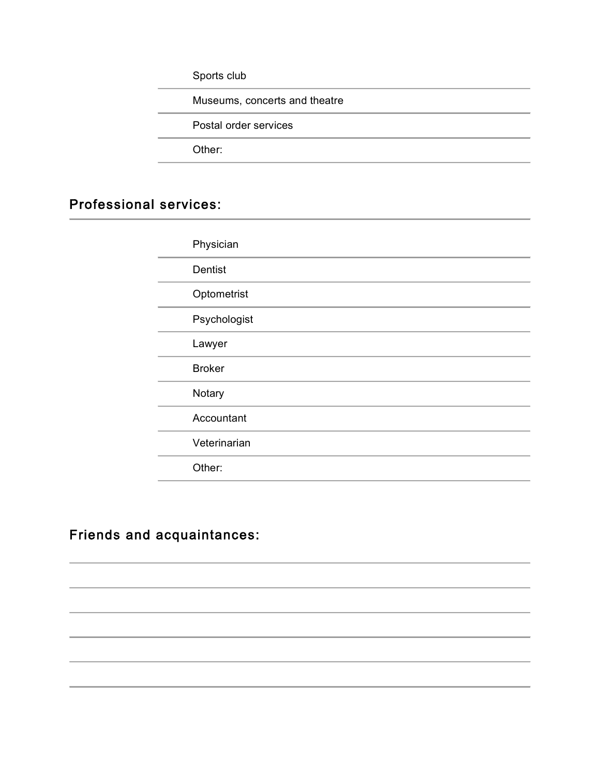Sports club

Museums, concerts and theatre

Postal order services

Other:

#### **Professional services:**

| Physician     |
|---------------|
| Dentist       |
| Optometrist   |
| Psychologist  |
| Lawyer        |
| <b>Broker</b> |
| Notary        |
| Accountant    |
| Veterinarian  |
| Other:        |

#### **Friends and acquaintances:**